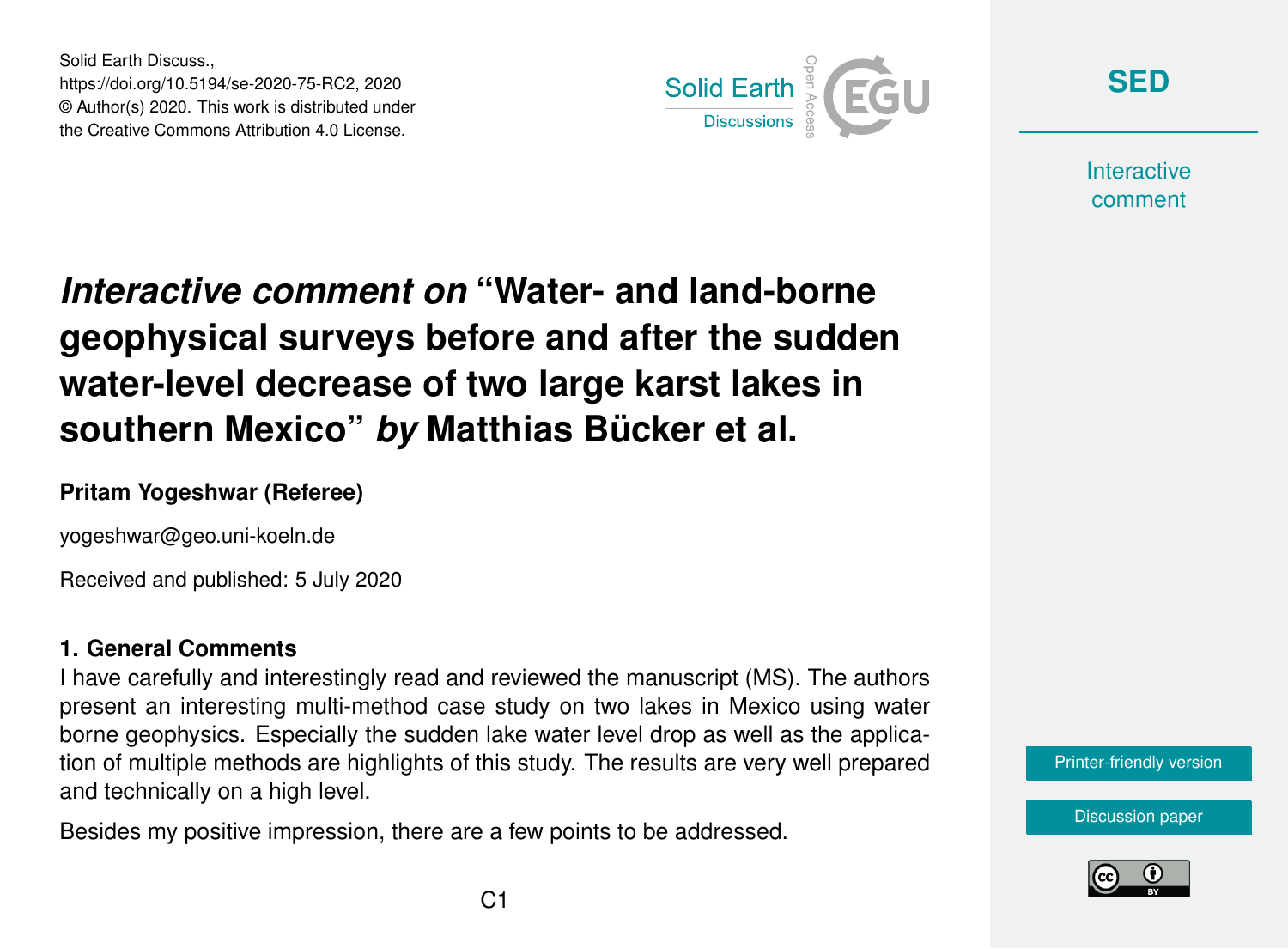Solid Earth Discuss., https://doi.org/10.5194/se-2020-75-RC2, 2020 © Author(s) 2020. This work is distributed under the Creative Commons Attribution 4.0 License.



**[SED](https://se.copernicus.org/preprints/)**

**Interactive** comment

# *Interactive comment on* **"Water- and land-borne geophysical surveys before and after the sudden water-level decrease of two large karst lakes in southern Mexico"** *by* **Matthias Bücker et al.**

## **Pritam Yogeshwar (Referee)**

yogeshwar@geo.uni-koeln.de

Received and published: 5 July 2020

## **1. General Comments**

I have carefully and interestingly read and reviewed the manuscript (MS). The authors present an interesting multi-method case study on two lakes in Mexico using water borne geophysics. Especially the sudden lake water level drop as well as the application of multiple methods are highlights of this study. The results are very well prepared and technically on a high level.

Besides my positive impression, there are a few points to be addressed.



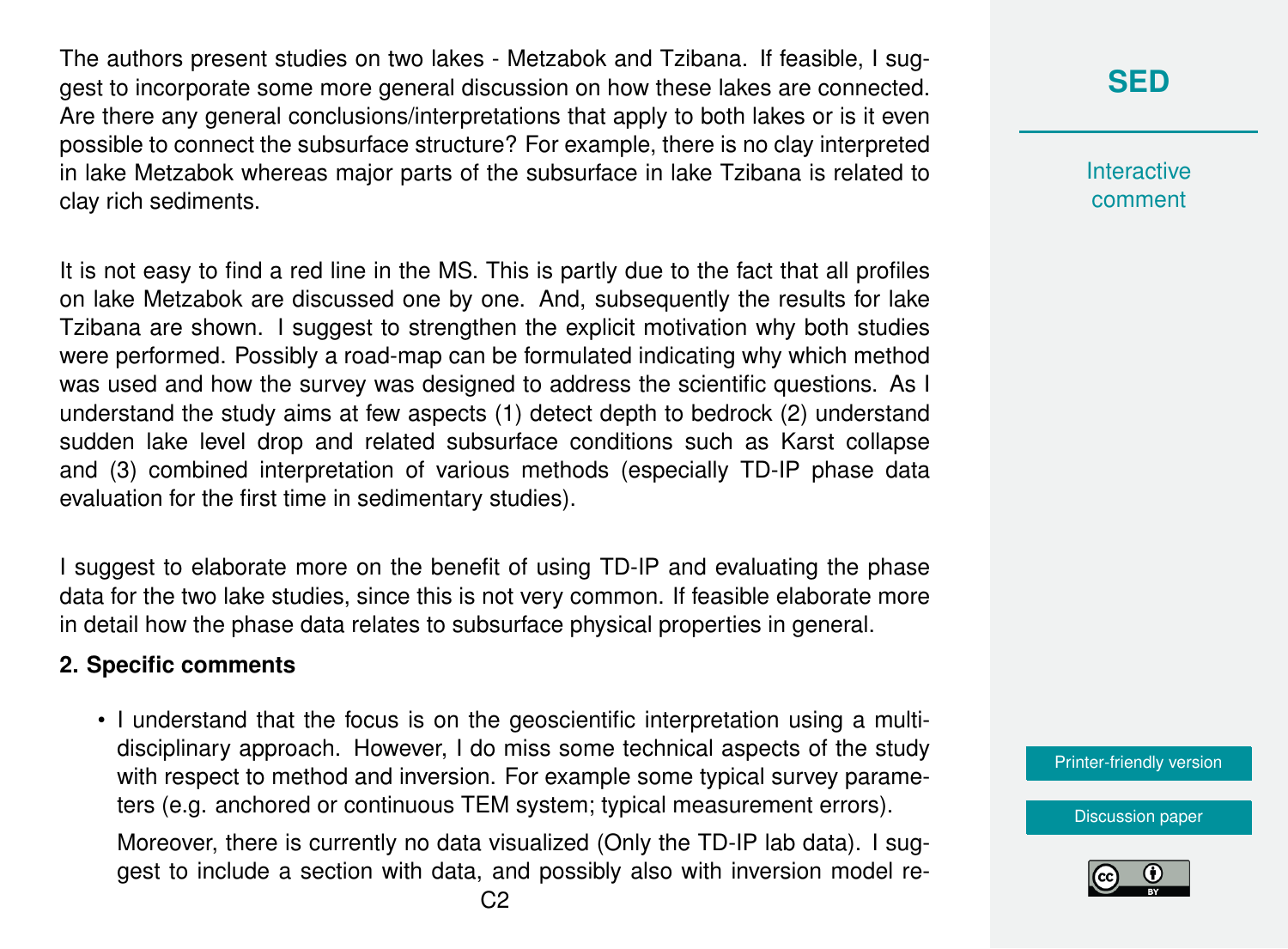The authors present studies on two lakes - Metzabok and Tzibana. If feasible, I suggest to incorporate some more general discussion on how these lakes are connected. Are there any general conclusions/interpretations that apply to both lakes or is it even possible to connect the subsurface structure? For example, there is no clay interpreted in lake Metzabok whereas major parts of the subsurface in lake Tzibana is related to clay rich sediments.

It is not easy to find a red line in the MS. This is partly due to the fact that all profiles on lake Metzabok are discussed one by one. And, subsequently the results for lake Tzibana are shown. I suggest to strengthen the explicit motivation why both studies were performed. Possibly a road-map can be formulated indicating why which method was used and how the survey was designed to address the scientific questions. As I understand the study aims at few aspects (1) detect depth to bedrock (2) understand sudden lake level drop and related subsurface conditions such as Karst collapse and (3) combined interpretation of various methods (especially TD-IP phase data evaluation for the first time in sedimentary studies).

I suggest to elaborate more on the benefit of using TD-IP and evaluating the phase data for the two lake studies, since this is not very common. If feasible elaborate more in detail how the phase data relates to subsurface physical properties in general.

#### **2. Specific comments**

• I understand that the focus is on the geoscientific interpretation using a multidisciplinary approach. However, I do miss some technical aspects of the study with respect to method and inversion. For example some typical survey parameters (e.g. anchored or continuous TEM system; typical measurement errors).

Moreover, there is currently no data visualized (Only the TD-IP lab data). I suggest to include a section with data, and possibly also with inversion model re-

# **[SED](https://se.copernicus.org/preprints/)**

**Interactive** comment

[Printer-friendly version](https://se.copernicus.org/preprints/se-2020-75/se-2020-75-RC2-print.pdf)

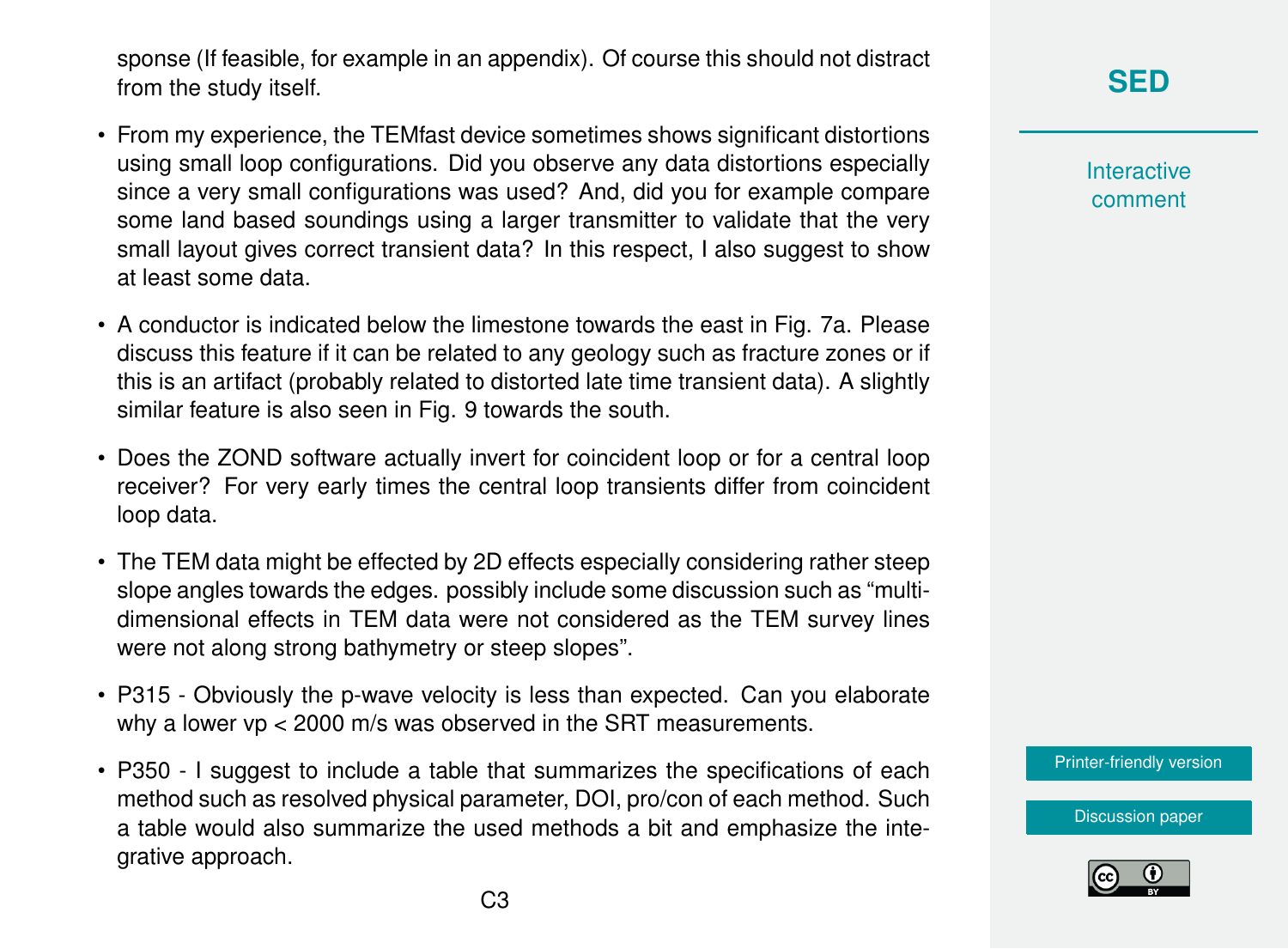sponse (If feasible, for example in an appendix). Of course this should not distract from the study itself.

- From my experience, the TEMfast device sometimes shows significant distortions using small loop configurations. Did you observe any data distortions especially since a very small configurations was used? And, did you for example compare some land based soundings using a larger transmitter to validate that the very small layout gives correct transient data? In this respect, I also suggest to show at least some data.
- A conductor is indicated below the limestone towards the east in Fig. 7a. Please discuss this feature if it can be related to any geology such as fracture zones or if this is an artifact (probably related to distorted late time transient data). A slightly similar feature is also seen in Fig. 9 towards the south.
- Does the ZOND software actually invert for coincident loop or for a central loop receiver? For very early times the central loop transients differ from coincident loop data.
- The TEM data might be effected by 2D effects especially considering rather steep slope angles towards the edges. possibly include some discussion such as "multidimensional effects in TEM data were not considered as the TEM survey lines were not along strong bathymetry or steep slopes".
- P315 Obviously the p-wave velocity is less than expected. Can you elaborate why a lower vp < 2000 m/s was observed in the SRT measurements.
- P350 I suggest to include a table that summarizes the specifications of each method such as resolved physical parameter, DOI, pro/con of each method. Such a table would also summarize the used methods a bit and emphasize the integrative approach.

**[SED](https://se.copernicus.org/preprints/)**

**Interactive** comment

[Printer-friendly version](https://se.copernicus.org/preprints/se-2020-75/se-2020-75-RC2-print.pdf)

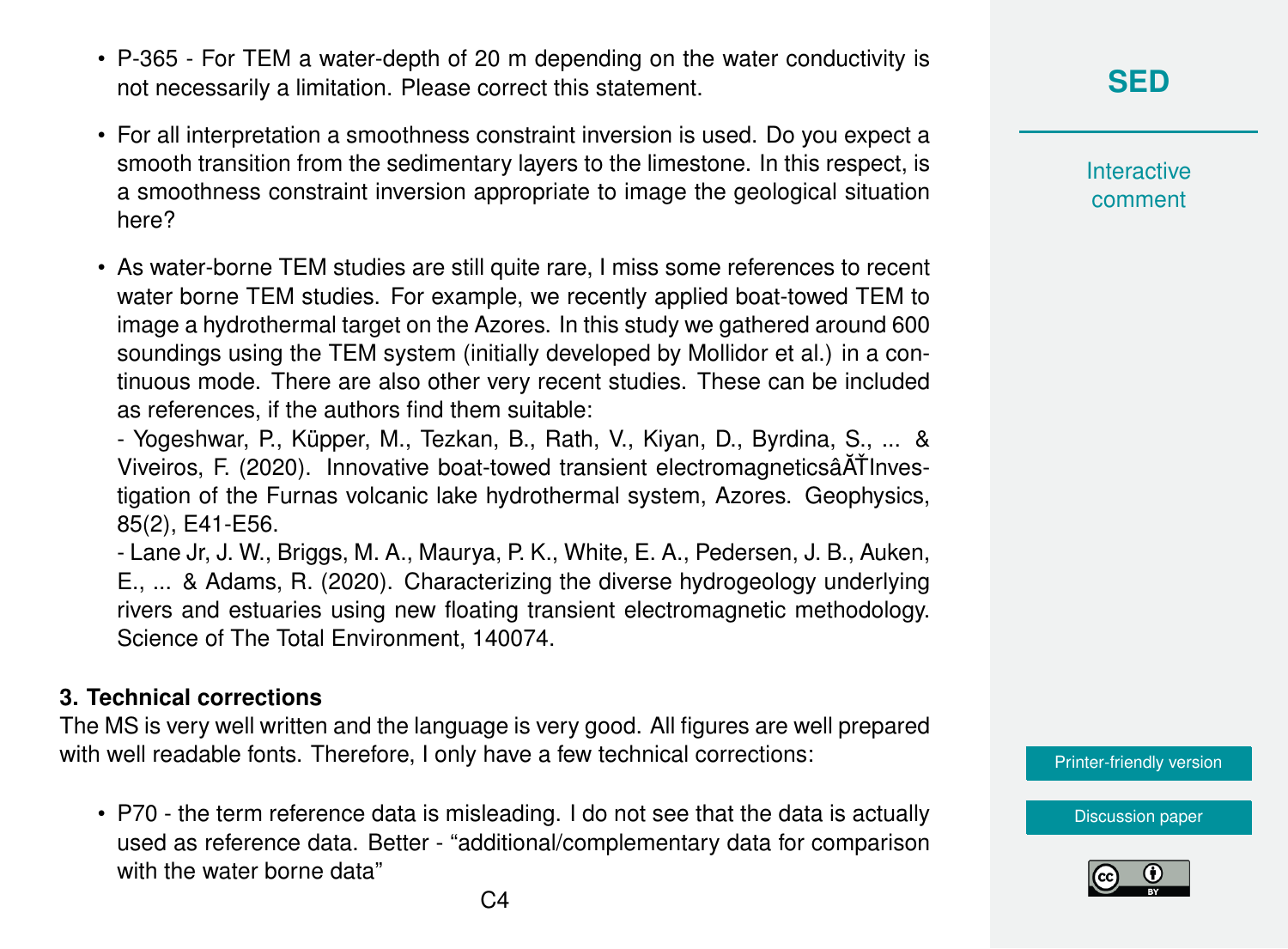- P-365 For TEM a water-depth of 20 m depending on the water conductivity is not necessarily a limitation. Please correct this statement.
- For all interpretation a smoothness constraint inversion is used. Do you expect a smooth transition from the sedimentary layers to the limestone. In this respect, is a smoothness constraint inversion appropriate to image the geological situation here?
- As water-borne TEM studies are still quite rare, I miss some references to recent water borne TEM studies. For example, we recently applied boat-towed TEM to image a hydrothermal target on the Azores. In this study we gathered around 600 soundings using the TEM system (initially developed by Mollidor et al.) in a continuous mode. There are also other very recent studies. These can be included as references, if the authors find them suitable:

- Yogeshwar, P., Küpper, M., Tezkan, B., Rath, V., Kiyan, D., Byrdina, S., ... & Viveiros, F. (2020). Innovative boat-towed transient electromagneticsâ $\tilde{A}$ TInvestigation of the Furnas volcanic lake hydrothermal system, Azores. Geophysics, 85(2), E41-E56.

- Lane Jr, J. W., Briggs, M. A., Maurya, P. K., White, E. A., Pedersen, J. B., Auken, E., ... & Adams, R. (2020). Characterizing the diverse hydrogeology underlying rivers and estuaries using new floating transient electromagnetic methodology. Science of The Total Environment, 140074.

#### **3. Technical corrections**

The MS is very well written and the language is very good. All figures are well prepared with well readable fonts. Therefore, I only have a few technical corrections:

• P70 - the term reference data is misleading. I do not see that the data is actually used as reference data. Better - "additional/complementary data for comparison with the water borne data"

**Interactive** comment

[Printer-friendly version](https://se.copernicus.org/preprints/se-2020-75/se-2020-75-RC2-print.pdf)